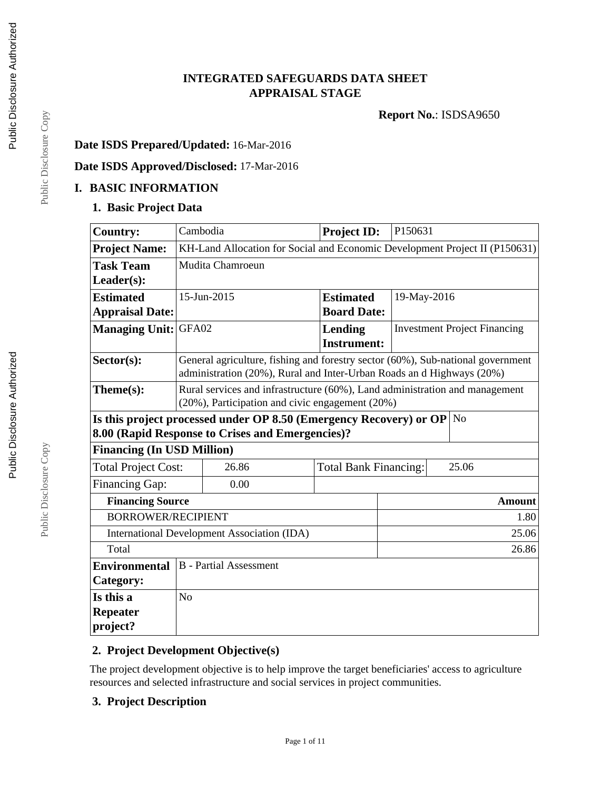# **INTEGRATED SAFEGUARDS DATA SHEET APPRAISAL STAGE**

**Report No.**: ISDSA9650

## **Date ISDS Prepared/Updated:** 16-Mar-2016

# **Date ISDS Approved/Disclosed:** 17-Mar-2016

#### **I. BASIC INFORMATION**

### **1. Basic Project Data**

| <b>Country:</b>                                             | Cambodia                                                                    |                                                                                                                                                          | Project ID:                  | P150631     |                                     |  |
|-------------------------------------------------------------|-----------------------------------------------------------------------------|----------------------------------------------------------------------------------------------------------------------------------------------------------|------------------------------|-------------|-------------------------------------|--|
| <b>Project Name:</b>                                        | KH-Land Allocation for Social and Economic Development Project II (P150631) |                                                                                                                                                          |                              |             |                                     |  |
| <b>Task Team</b>                                            |                                                                             | Mudita Chamroeun                                                                                                                                         |                              |             |                                     |  |
| $Leader(s)$ :                                               |                                                                             |                                                                                                                                                          |                              |             |                                     |  |
| <b>Estimated</b>                                            |                                                                             | 15-Jun-2015                                                                                                                                              | <b>Estimated</b>             | 19-May-2016 |                                     |  |
| <b>Appraisal Date:</b>                                      |                                                                             |                                                                                                                                                          | <b>Board Date:</b>           |             |                                     |  |
| <b>Managing Unit:</b>                                       | GFA02                                                                       |                                                                                                                                                          | Lending                      |             | <b>Investment Project Financing</b> |  |
|                                                             |                                                                             |                                                                                                                                                          | <b>Instrument:</b>           |             |                                     |  |
| Sector(s):                                                  |                                                                             | General agriculture, fishing and forestry sector (60%), Sub-national government<br>administration (20%), Rural and Inter-Urban Roads an d Highways (20%) |                              |             |                                     |  |
| $Thene(s):$                                                 |                                                                             | Rural services and infrastructure (60%), Land administration and management                                                                              |                              |             |                                     |  |
|                                                             | (20%), Participation and civic engagement (20%)                             |                                                                                                                                                          |                              |             |                                     |  |
|                                                             |                                                                             | Is this project processed under OP 8.50 (Emergency Recovery) or OP                                                                                       |                              |             | N <sub>o</sub>                      |  |
| 8.00 (Rapid Response to Crises and Emergencies)?            |                                                                             |                                                                                                                                                          |                              |             |                                     |  |
| <b>Financing (In USD Million)</b>                           |                                                                             |                                                                                                                                                          |                              |             |                                     |  |
| <b>Total Project Cost:</b>                                  |                                                                             | 26.86                                                                                                                                                    | <b>Total Bank Financing:</b> |             | 25.06                               |  |
| <b>Financing Gap:</b>                                       |                                                                             | 0.00                                                                                                                                                     |                              |             |                                     |  |
| <b>Financing Source</b>                                     | <b>Amount</b>                                                               |                                                                                                                                                          |                              |             |                                     |  |
| <b>BORROWER/RECIPIENT</b><br>1.80                           |                                                                             |                                                                                                                                                          |                              |             |                                     |  |
| <b>International Development Association (IDA)</b><br>25.06 |                                                                             |                                                                                                                                                          |                              |             |                                     |  |
| Total<br>26.86                                              |                                                                             |                                                                                                                                                          |                              |             |                                     |  |
| <b>B</b> - Partial Assessment<br><b>Environmental</b>       |                                                                             |                                                                                                                                                          |                              |             |                                     |  |
| Category:                                                   |                                                                             |                                                                                                                                                          |                              |             |                                     |  |
| Is this a                                                   | N <sub>o</sub>                                                              |                                                                                                                                                          |                              |             |                                     |  |
| <b>Repeater</b>                                             |                                                                             |                                                                                                                                                          |                              |             |                                     |  |
| project?                                                    |                                                                             |                                                                                                                                                          |                              |             |                                     |  |

## **2. Project Development Objective(s)**

The project development objective is to help improve the target beneficiaries' access to agriculture resources and selected infrastructure and social services in project communities.

Page 1 of 11

### **3. Project Description**

Public Disclosure Copy Public Disclosure Copy

Public Disclosure Copy

Public Disclosure Copy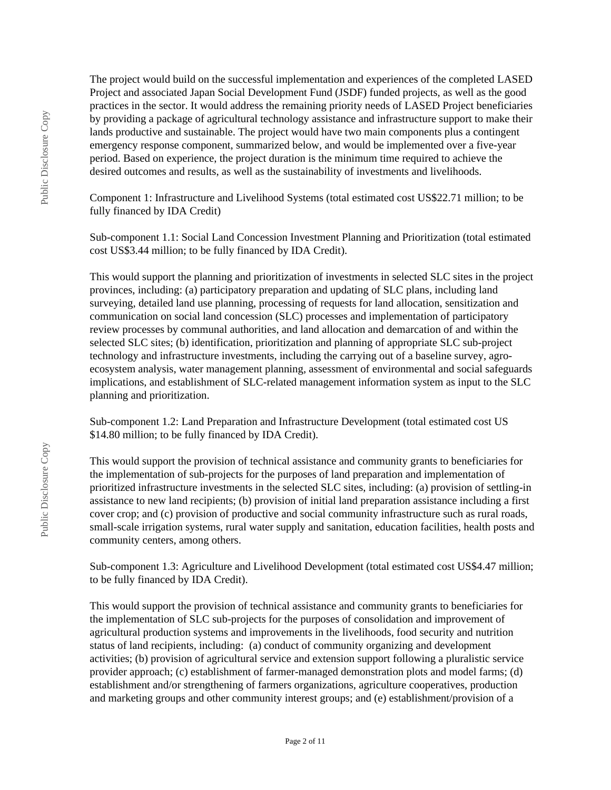The project would build on the successful implementation and experiences of the completed LASED Project and associated Japan Social Development Fund (JSDF) funded projects, as well as the good practices in the sector. It would address the remaining priority needs of LASED Project beneficiaries by providing a package of agricultural technology assistance and infrastructure support to make their lands productive and sustainable. The project would have two main components plus a contingent emergency response component, summarized below, and would be implemented over a five-year period. Based on experience, the project duration is the minimum time required to achieve the desired outcomes and results, as well as the sustainability of investments and livelihoods.

Component 1: Infrastructure and Livelihood Systems (total estimated cost US\$22.71 million; to be fully financed by IDA Credit)

Sub-component 1.1: Social Land Concession Investment Planning and Prioritization (total estimated cost US\$3.44 million; to be fully financed by IDA Credit).

This would support the planning and prioritization of investments in selected SLC sites in the project provinces, including: (a) participatory preparation and updating of SLC plans, including land surveying, detailed land use planning, processing of requests for land allocation, sensitization and communication on social land concession (SLC) processes and implementation of participatory review processes by communal authorities, and land allocation and demarcation of and within the selected SLC sites; (b) identification, prioritization and planning of appropriate SLC sub-project technology and infrastructure investments, including the carrying out of a baseline survey, agroecosystem analysis, water management planning, assessment of environmental and social safeguards implications, and establishment of SLC-related management information system as input to the SLC planning and prioritization.

Sub-component 1.2: Land Preparation and Infrastructure Development (total estimated cost US \$14.80 million; to be fully financed by IDA Credit).

This would support the provision of technical assistance and community grants to beneficiaries for the implementation of sub-projects for the purposes of land preparation and implementation of prioritized infrastructure investments in the selected SLC sites, including: (a) provision of settling-in assistance to new land recipients; (b) provision of initial land preparation assistance including a first cover crop; and (c) provision of productive and social community infrastructure such as rural roads, small-scale irrigation systems, rural water supply and sanitation, education facilities, health posts and community centers, among others.

Sub-component 1.3: Agriculture and Livelihood Development (total estimated cost US\$4.47 million; to be fully financed by IDA Credit).

This would support the provision of technical assistance and community grants to beneficiaries for the implementation of SLC sub-projects for the purposes of consolidation and improvement of agricultural production systems and improvements in the livelihoods, food security and nutrition status of land recipients, including: (a) conduct of community organizing and development activities; (b) provision of agricultural service and extension support following a pluralistic service provider approach; (c) establishment of farmer-managed demonstration plots and model farms; (d) establishment and/or strengthening of farmers organizations, agriculture cooperatives, production and marketing groups and other community interest groups; and (e) establishment/provision of a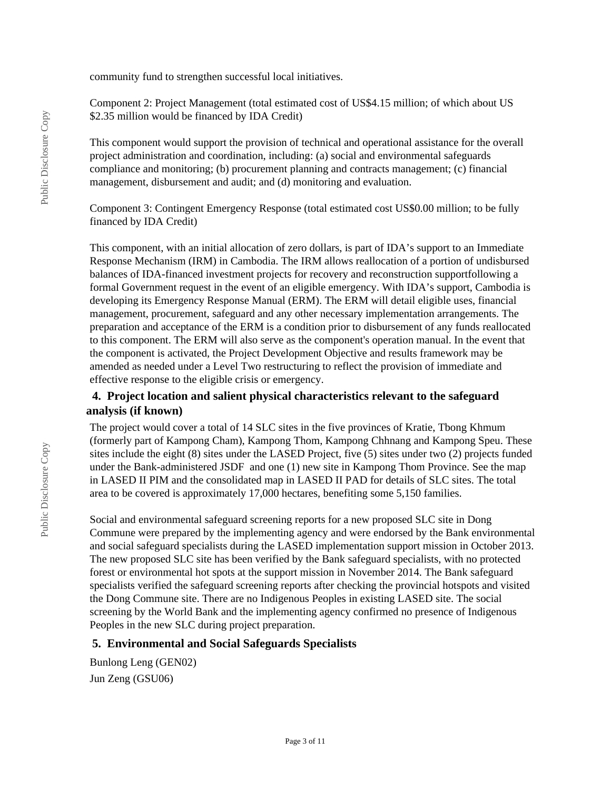community fund to strengthen successful local initiatives.

Component 2: Project Management (total estimated cost of US\$4.15 million; of which about US \$2.35 million would be financed by IDA Credit)

This component would support the provision of technical and operational assistance for the overall project administration and coordination, including: (a) social and environmental safeguards compliance and monitoring; (b) procurement planning and contracts management; (c) financial management, disbursement and audit; and (d) monitoring and evaluation.

Component 3: Contingent Emergency Response (total estimated cost US\$0.00 million; to be fully financed by IDA Credit)

This component, with an initial allocation of zero dollars, is part of IDA's support to an Immediate Response Mechanism (IRM) in Cambodia. The IRM allows reallocation of a portion of undisbursed balances of IDA-financed investment projects for recovery and reconstruction supportfollowing a formal Government request in the event of an eligible emergency. With IDA's support, Cambodia is developing its Emergency Response Manual (ERM). The ERM will detail eligible uses, financial management, procurement, safeguard and any other necessary implementation arrangements. The preparation and acceptance of the ERM is a condition prior to disbursement of any funds reallocated to this component. The ERM will also serve as the component's operation manual. In the event that the component is activated, the Project Development Objective and results framework may be amended as needed under a Level Two restructuring to reflect the provision of immediate and effective response to the eligible crisis or emergency.

## **4. Project location and salient physical characteristics relevant to the safeguard analysis (if known)**

The project would cover a total of 14 SLC sites in the five provinces of Kratie, Tbong Khmum (formerly part of Kampong Cham), Kampong Thom, Kampong Chhnang and Kampong Speu. These sites include the eight (8) sites under the LASED Project, five (5) sites under two (2) projects funded under the Bank-administered JSDF and one (1) new site in Kampong Thom Province. See the map in LASED II PIM and the consolidated map in LASED II PAD for details of SLC sites. The total area to be covered is approximately 17,000 hectares, benefiting some 5,150 families.

Social and environmental safeguard screening reports for a new proposed SLC site in Dong Commune were prepared by the implementing agency and were endorsed by the Bank environmental and social safeguard specialists during the LASED implementation support mission in October 2013. The new proposed SLC site has been verified by the Bank safeguard specialists, with no protected forest or environmental hot spots at the support mission in November 2014. The Bank safeguard specialists verified the safeguard screening reports after checking the provincial hotspots and visited the Dong Commune site. There are no Indigenous Peoples in existing LASED site. The social screening by the World Bank and the implementing agency confirmed no presence of Indigenous Peoples in the new SLC during project preparation.

#### **5. Environmental and Social Safeguards Specialists**

Bunlong Leng (GEN02) Jun Zeng (GSU06)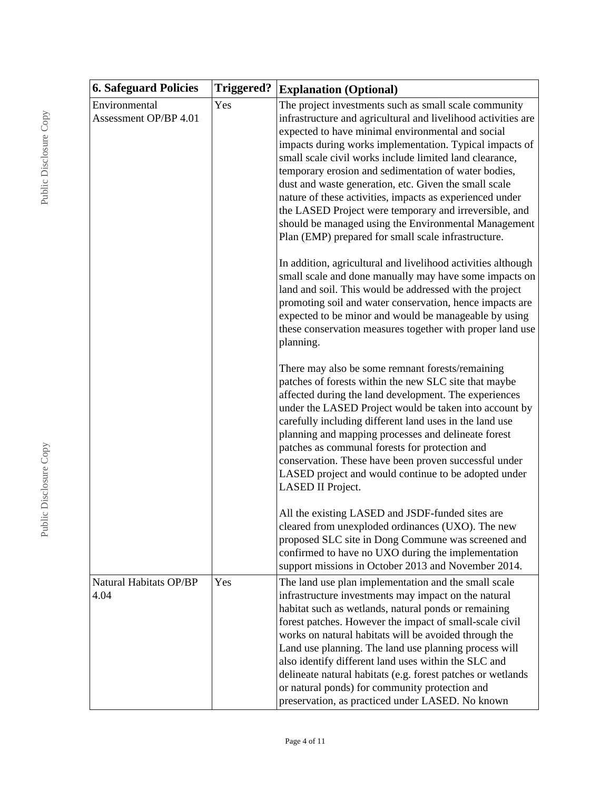| <b>6. Safeguard Policies</b>           | <b>Triggered?</b> | <b>Explanation (Optional)</b>                                                                                                                                                                                                                                                                                                                                                                                                                                                                                                                                                                                                                                                                                           |  |  |
|----------------------------------------|-------------------|-------------------------------------------------------------------------------------------------------------------------------------------------------------------------------------------------------------------------------------------------------------------------------------------------------------------------------------------------------------------------------------------------------------------------------------------------------------------------------------------------------------------------------------------------------------------------------------------------------------------------------------------------------------------------------------------------------------------------|--|--|
| Environmental<br>Assessment OP/BP 4.01 | Yes               | The project investments such as small scale community<br>infrastructure and agricultural and livelihood activities are<br>expected to have minimal environmental and social<br>impacts during works implementation. Typical impacts of<br>small scale civil works include limited land clearance,<br>temporary erosion and sedimentation of water bodies,<br>dust and waste generation, etc. Given the small scale<br>nature of these activities, impacts as experienced under<br>the LASED Project were temporary and irreversible, and<br>should be managed using the Environmental Management<br>Plan (EMP) prepared for small scale infrastructure.<br>In addition, agricultural and livelihood activities although |  |  |
|                                        |                   | small scale and done manually may have some impacts on<br>land and soil. This would be addressed with the project<br>promoting soil and water conservation, hence impacts are<br>expected to be minor and would be manageable by using<br>these conservation measures together with proper land use<br>planning.                                                                                                                                                                                                                                                                                                                                                                                                        |  |  |
|                                        |                   | There may also be some remnant forests/remaining<br>patches of forests within the new SLC site that maybe<br>affected during the land development. The experiences<br>under the LASED Project would be taken into account by<br>carefully including different land uses in the land use<br>planning and mapping processes and delineate forest<br>patches as communal forests for protection and<br>conservation. These have been proven successful under<br>LASED project and would continue to be adopted under<br>LASED II Project.                                                                                                                                                                                  |  |  |
|                                        |                   | All the existing LASED and JSDF-funded sites are<br>cleared from unexploded ordinances (UXO). The new<br>proposed SLC site in Dong Commune was screened and<br>confirmed to have no UXO during the implementation<br>support missions in October 2013 and November 2014.                                                                                                                                                                                                                                                                                                                                                                                                                                                |  |  |
| Natural Habitats OP/BP<br>4.04         | Yes               | The land use plan implementation and the small scale<br>infrastructure investments may impact on the natural<br>habitat such as wetlands, natural ponds or remaining<br>forest patches. However the impact of small-scale civil<br>works on natural habitats will be avoided through the<br>Land use planning. The land use planning process will<br>also identify different land uses within the SLC and<br>delineate natural habitats (e.g. forest patches or wetlands<br>or natural ponds) for community protection and<br>preservation, as practiced under LASED. No known                                                                                                                                          |  |  |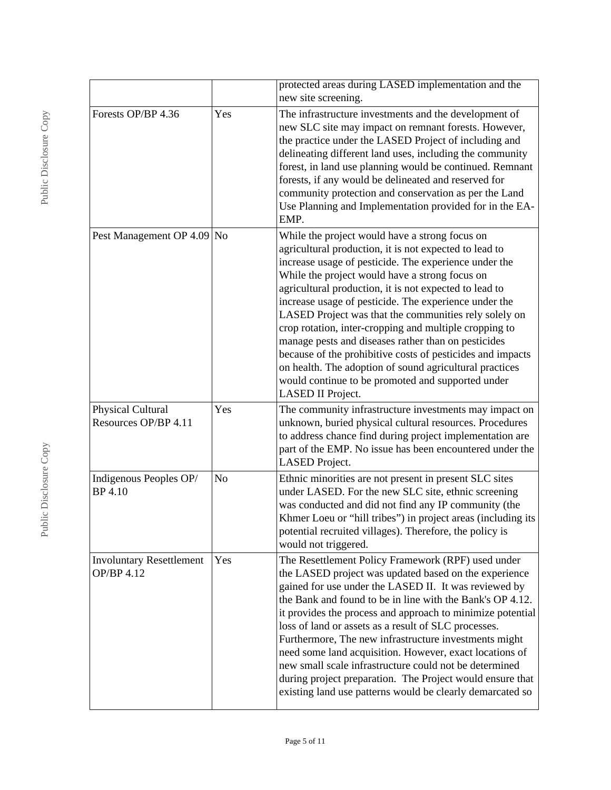|                                               |     | protected areas during LASED implementation and the<br>new site screening.                                                                                                                                                                                                                                                                                                                                                                                                                                                                                                                                                                                                                                          |
|-----------------------------------------------|-----|---------------------------------------------------------------------------------------------------------------------------------------------------------------------------------------------------------------------------------------------------------------------------------------------------------------------------------------------------------------------------------------------------------------------------------------------------------------------------------------------------------------------------------------------------------------------------------------------------------------------------------------------------------------------------------------------------------------------|
| Forests OP/BP 4.36                            | Yes | The infrastructure investments and the development of<br>new SLC site may impact on remnant forests. However,<br>the practice under the LASED Project of including and<br>delineating different land uses, including the community<br>forest, in land use planning would be continued. Remnant<br>forests, if any would be delineated and reserved for<br>community protection and conservation as per the Land<br>Use Planning and Implementation provided for in the EA-<br>EMP.                                                                                                                                                                                                                                  |
| Pest Management OP 4.09 No                    |     | While the project would have a strong focus on<br>agricultural production, it is not expected to lead to<br>increase usage of pesticide. The experience under the<br>While the project would have a strong focus on<br>agricultural production, it is not expected to lead to<br>increase usage of pesticide. The experience under the<br>LASED Project was that the communities rely solely on<br>crop rotation, inter-cropping and multiple cropping to<br>manage pests and diseases rather than on pesticides<br>because of the prohibitive costs of pesticides and impacts<br>on health. The adoption of sound agricultural practices<br>would continue to be promoted and supported under<br>LASED II Project. |
| Physical Cultural<br>Resources OP/BP 4.11     | Yes | The community infrastructure investments may impact on<br>unknown, buried physical cultural resources. Procedures<br>to address chance find during project implementation are<br>part of the EMP. No issue has been encountered under the<br>LASED Project.                                                                                                                                                                                                                                                                                                                                                                                                                                                         |
| Indigenous Peoples OP/<br><b>BP</b> 4.10      | No  | Ethnic minorities are not present in present SLC sites<br>under LASED. For the new SLC site, ethnic screening<br>was conducted and did not find any IP community (the<br>Khmer Loeu or "hill tribes") in project areas (including its<br>potential recruited villages). Therefore, the policy is<br>would not triggered.                                                                                                                                                                                                                                                                                                                                                                                            |
| <b>Involuntary Resettlement</b><br>OP/BP 4.12 | Yes | The Resettlement Policy Framework (RPF) used under<br>the LASED project was updated based on the experience<br>gained for use under the LASED II. It was reviewed by<br>the Bank and found to be in line with the Bank's OP 4.12.<br>it provides the process and approach to minimize potential<br>loss of land or assets as a result of SLC processes.<br>Furthermore, The new infrastructure investments might<br>need some land acquisition. However, exact locations of<br>new small scale infrastructure could not be determined<br>during project preparation. The Project would ensure that<br>existing land use patterns would be clearly demarcated so                                                     |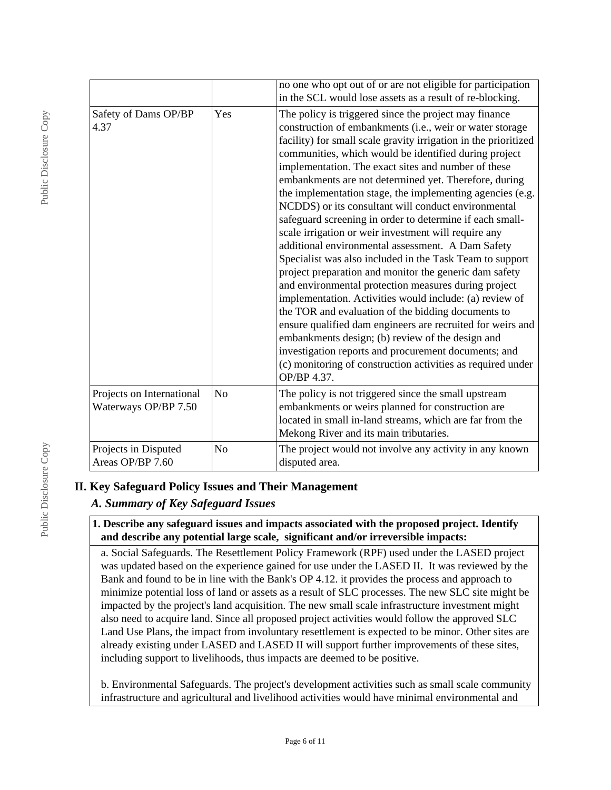|                                                   |                | no one who opt out of or are not eligible for participation<br>in the SCL would lose assets as a result of re-blocking.                                                                                                                                                                                                                                                                                                                                                                                                                                                                                                                                                                                                                                                                                                                                                                                                                                                                                                                                                                                                                                                                                           |
|---------------------------------------------------|----------------|-------------------------------------------------------------------------------------------------------------------------------------------------------------------------------------------------------------------------------------------------------------------------------------------------------------------------------------------------------------------------------------------------------------------------------------------------------------------------------------------------------------------------------------------------------------------------------------------------------------------------------------------------------------------------------------------------------------------------------------------------------------------------------------------------------------------------------------------------------------------------------------------------------------------------------------------------------------------------------------------------------------------------------------------------------------------------------------------------------------------------------------------------------------------------------------------------------------------|
| Safety of Dams OP/BP<br>4.37                      | Yes            | The policy is triggered since the project may finance<br>construction of embankments (i.e., weir or water storage<br>facility) for small scale gravity irrigation in the prioritized<br>communities, which would be identified during project<br>implementation. The exact sites and number of these<br>embankments are not determined yet. Therefore, during<br>the implementation stage, the implementing agencies (e.g.<br>NCDDS) or its consultant will conduct environmental<br>safeguard screening in order to determine if each small-<br>scale irrigation or weir investment will require any<br>additional environmental assessment. A Dam Safety<br>Specialist was also included in the Task Team to support<br>project preparation and monitor the generic dam safety<br>and environmental protection measures during project<br>implementation. Activities would include: (a) review of<br>the TOR and evaluation of the bidding documents to<br>ensure qualified dam engineers are recruited for weirs and<br>embankments design; (b) review of the design and<br>investigation reports and procurement documents; and<br>(c) monitoring of construction activities as required under<br>OP/BP 4.37. |
| Projects on International<br>Waterways OP/BP 7.50 | $\rm No$       | The policy is not triggered since the small upstream<br>embankments or weirs planned for construction are<br>located in small in-land streams, which are far from the<br>Mekong River and its main tributaries.                                                                                                                                                                                                                                                                                                                                                                                                                                                                                                                                                                                                                                                                                                                                                                                                                                                                                                                                                                                                   |
| Projects in Disputed<br>Areas OP/BP 7.60          | N <sub>o</sub> | The project would not involve any activity in any known<br>disputed area.                                                                                                                                                                                                                                                                                                                                                                                                                                                                                                                                                                                                                                                                                                                                                                                                                                                                                                                                                                                                                                                                                                                                         |

### **II. Key Safeguard Policy Issues and Their Management**

# *A. Summary of Key Safeguard Issues*

#### **1. Describe any safeguard issues and impacts associated with the proposed project. Identify and describe any potential large scale, significant and/or irreversible impacts:**

a. Social Safeguards. The Resettlement Policy Framework (RPF) used under the LASED project was updated based on the experience gained for use under the LASED II. It was reviewed by the Bank and found to be in line with the Bank's OP 4.12. it provides the process and approach to minimize potential loss of land or assets as a result of SLC processes. The new SLC site might be impacted by the project's land acquisition. The new small scale infrastructure investment might also need to acquire land. Since all proposed project activities would follow the approved SLC Land Use Plans, the impact from involuntary resettlement is expected to be minor. Other sites are already existing under LASED and LASED II will support further improvements of these sites, including support to livelihoods, thus impacts are deemed to be positive.

b. Environmental Safeguards. The project's development activities such as small scale community infrastructure and agricultural and livelihood activities would have minimal environmental and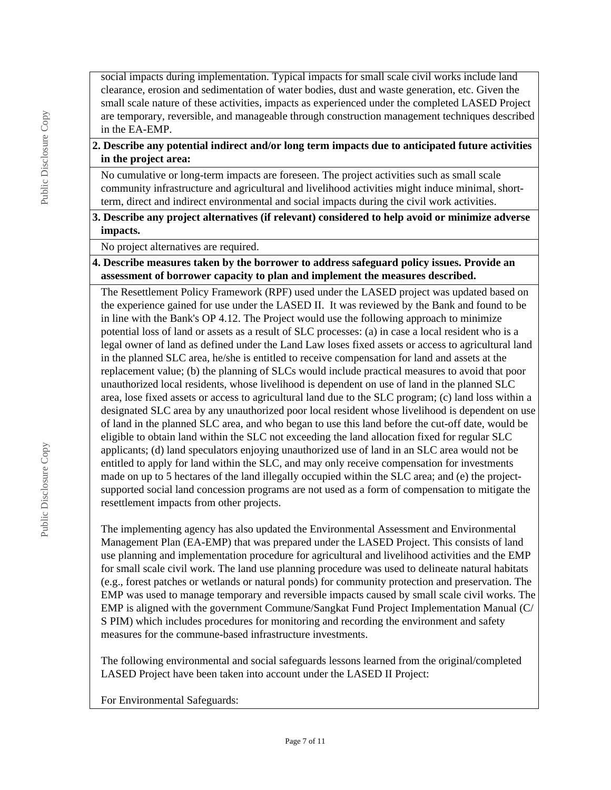social impacts during implementation. Typical impacts for small scale civil works include land clearance, erosion and sedimentation of water bodies, dust and waste generation, etc. Given the small scale nature of these activities, impacts as experienced under the completed LASED Project are temporary, reversible, and manageable through construction management techniques described in the EA-EMP.

## **2. Describe any potential indirect and/or long term impacts due to anticipated future activities in the project area:**

No cumulative or long-term impacts are foreseen. The project activities such as small scale community infrastructure and agricultural and livelihood activities might induce minimal, shortterm, direct and indirect environmental and social impacts during the civil work activities.

## **3. Describe any project alternatives (if relevant) considered to help avoid or minimize adverse impacts.**

No project alternatives are required.

**4. Describe measures taken by the borrower to address safeguard policy issues. Provide an assessment of borrower capacity to plan and implement the measures described.**

The Resettlement Policy Framework (RPF) used under the LASED project was updated based on the experience gained for use under the LASED II. It was reviewed by the Bank and found to be in line with the Bank's OP 4.12. The Project would use the following approach to minimize potential loss of land or assets as a result of SLC processes: (a) in case a local resident who is a legal owner of land as defined under the Land Law loses fixed assets or access to agricultural land in the planned SLC area, he/she is entitled to receive compensation for land and assets at the replacement value; (b) the planning of SLCs would include practical measures to avoid that poor unauthorized local residents, whose livelihood is dependent on use of land in the planned SLC area, lose fixed assets or access to agricultural land due to the SLC program; (c) land loss within a designated SLC area by any unauthorized poor local resident whose livelihood is dependent on use of land in the planned SLC area, and who began to use this land before the cut-off date, would be eligible to obtain land within the SLC not exceeding the land allocation fixed for regular SLC applicants; (d) land speculators enjoying unauthorized use of land in an SLC area would not be entitled to apply for land within the SLC, and may only receive compensation for investments made on up to 5 hectares of the land illegally occupied within the SLC area; and (e) the projectsupported social land concession programs are not used as a form of compensation to mitigate the resettlement impacts from other projects.

The implementing agency has also updated the Environmental Assessment and Environmental Management Plan (EA-EMP) that was prepared under the LASED Project. This consists of land use planning and implementation procedure for agricultural and livelihood activities and the EMP for small scale civil work. The land use planning procedure was used to delineate natural habitats (e.g., forest patches or wetlands or natural ponds) for community protection and preservation. The EMP was used to manage temporary and reversible impacts caused by small scale civil works. The EMP is aligned with the government Commune/Sangkat Fund Project Implementation Manual (C/ S PIM) which includes procedures for monitoring and recording the environment and safety measures for the commune-based infrastructure investments.

The following environmental and social safeguards lessons learned from the original/completed LASED Project have been taken into account under the LASED II Project:

For Environmental Safeguards: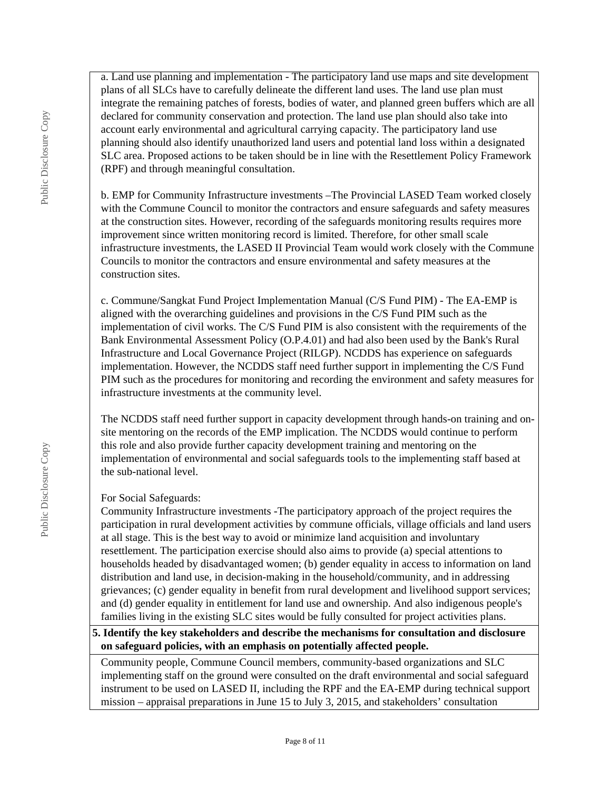a. Land use planning and implementation - The participatory land use maps and site development plans of all SLCs have to carefully delineate the different land uses. The land use plan must integrate the remaining patches of forests, bodies of water, and planned green buffers which are all declared for community conservation and protection. The land use plan should also take into account early environmental and agricultural carrying capacity. The participatory land use planning should also identify unauthorized land users and potential land loss within a designated SLC area. Proposed actions to be taken should be in line with the Resettlement Policy Framework (RPF) and through meaningful consultation.

b. EMP for Community Infrastructure investments –The Provincial LASED Team worked closely with the Commune Council to monitor the contractors and ensure safeguards and safety measures at the construction sites. However, recording of the safeguards monitoring results requires more improvement since written monitoring record is limited. Therefore, for other small scale infrastructure investments, the LASED II Provincial Team would work closely with the Commune Councils to monitor the contractors and ensure environmental and safety measures at the construction sites.

c. Commune/Sangkat Fund Project Implementation Manual (C/S Fund PIM) - The EA-EMP is aligned with the overarching guidelines and provisions in the C/S Fund PIM such as the implementation of civil works. The C/S Fund PIM is also consistent with the requirements of the Bank Environmental Assessment Policy (O.P.4.01) and had also been used by the Bank's Rural Infrastructure and Local Governance Project (RILGP). NCDDS has experience on safeguards implementation. However, the NCDDS staff need further support in implementing the C/S Fund PIM such as the procedures for monitoring and recording the environment and safety measures for infrastructure investments at the community level.

The NCDDS staff need further support in capacity development through hands-on training and onsite mentoring on the records of the EMP implication. The NCDDS would continue to perform this role and also provide further capacity development training and mentoring on the implementation of environmental and social safeguards tools to the implementing staff based at the sub-national level.

# For Social Safeguards:

Community Infrastructure investments -The participatory approach of the project requires the participation in rural development activities by commune officials, village officials and land users at all stage. This is the best way to avoid or minimize land acquisition and involuntary resettlement. The participation exercise should also aims to provide (a) special attentions to households headed by disadvantaged women; (b) gender equality in access to information on land distribution and land use, in decision-making in the household/community, and in addressing grievances; (c) gender equality in benefit from rural development and livelihood support services; and (d) gender equality in entitlement for land use and ownership. And also indigenous people's families living in the existing SLC sites would be fully consulted for project activities plans.

# **5. Identify the key stakeholders and describe the mechanisms for consultation and disclosure on safeguard policies, with an emphasis on potentially affected people.**

Community people, Commune Council members, community-based organizations and SLC implementing staff on the ground were consulted on the draft environmental and social safeguard instrument to be used on LASED II, including the RPF and the EA-EMP during technical support mission – appraisal preparations in June 15 to July 3, 2015, and stakeholders' consultation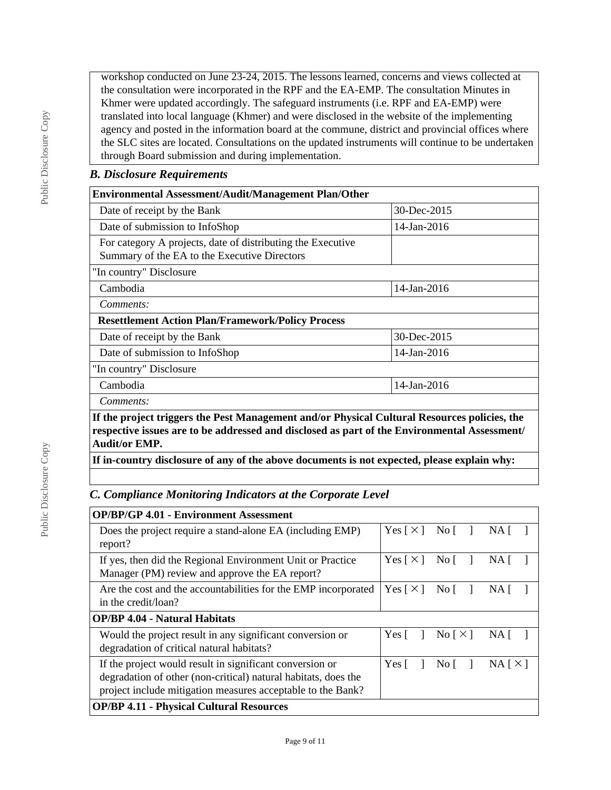workshop conducted on June 23-24, 2015. The lessons learned, concerns and views collected at the consultation were incorporated in the RPF and the EA-EMP. The consultation Minutes in Khmer were updated accordingly. The safeguard instruments (i.e. RPF and EA-EMP) were translated into local language (Khmer) and were disclosed in the website of the implementing agency and posted in the information board at the commune, district and provincial offices where the SLC sites are located. Consultations on the updated instruments will continue to be undertaken through Board submission and during implementation.

### *B. Disclosure Requirements*

| <b>Environmental Assessment/Audit/Management Plan/Other</b>                                                                                                                                                          |             |  |  |  |
|----------------------------------------------------------------------------------------------------------------------------------------------------------------------------------------------------------------------|-------------|--|--|--|
| 30-Dec-2015<br>Date of receipt by the Bank                                                                                                                                                                           |             |  |  |  |
| Date of submission to InfoShop<br>$14$ -Jan-2016                                                                                                                                                                     |             |  |  |  |
| For category A projects, date of distributing the Executive<br>Summary of the EA to the Executive Directors                                                                                                          |             |  |  |  |
| "In country" Disclosure                                                                                                                                                                                              |             |  |  |  |
| 14-Jan-2016<br>Cambodia                                                                                                                                                                                              |             |  |  |  |
| Comments:                                                                                                                                                                                                            |             |  |  |  |
| <b>Resettlement Action Plan/Framework/Policy Process</b>                                                                                                                                                             |             |  |  |  |
| Date of receipt by the Bank                                                                                                                                                                                          | 30-Dec-2015 |  |  |  |
| $14$ -Jan-2016<br>Date of submission to InfoShop                                                                                                                                                                     |             |  |  |  |
| "In country" Disclosure                                                                                                                                                                                              |             |  |  |  |
| Cambodia<br>14-Jan-2016                                                                                                                                                                                              |             |  |  |  |
| Comments:                                                                                                                                                                                                            |             |  |  |  |
| If the project triggers the Pest Management and/or Physical Cultural Resources policies, the<br>respective issues are to be addressed and disclosed as part of the Environmental Assessment/<br><b>Audit/or EMP.</b> |             |  |  |  |

**If in-country disclosure of any of the above documents is not expected, please explain why:**

# *C. Compliance Monitoring Indicators at the Corporate Level*

| <b>OP/BP/GP 4.01 - Environment Assessment</b>                                                                                                                                             |                            |                                    |          |
|-------------------------------------------------------------------------------------------------------------------------------------------------------------------------------------------|----------------------------|------------------------------------|----------|
| Does the project require a stand-alone EA (including EMP)                                                                                                                                 | Yes $\lceil \times \rceil$ | No L                               | NA.      |
| report?                                                                                                                                                                                   |                            |                                    |          |
| If yes, then did the Regional Environment Unit or Practice<br>Manager (PM) review and approve the EA report?                                                                              | Yes $\lceil \times \rceil$ | No L                               | NA.      |
| Are the cost and the accountabilities for the EMP incorporated<br>in the credit/loan?                                                                                                     | Yes $\lceil \times \rceil$ | $\overline{N}$ o                   | NA.      |
| <b>OP/BP 4.04 - Natural Habitats</b>                                                                                                                                                      |                            |                                    |          |
| Would the project result in any significant conversion or<br>degradation of critical natural habitats?                                                                                    | Yes [                      | $\text{No}$ $\lceil \times \rceil$ | NA.      |
| If the project would result in significant conversion or<br>degradation of other (non-critical) natural habitats, does the<br>project include mitigation measures acceptable to the Bank? | Yes $\lceil$               | No I                               | NA [ X ] |
| <b>OP/BP 4.11 - Physical Cultural Resources</b>                                                                                                                                           |                            |                                    |          |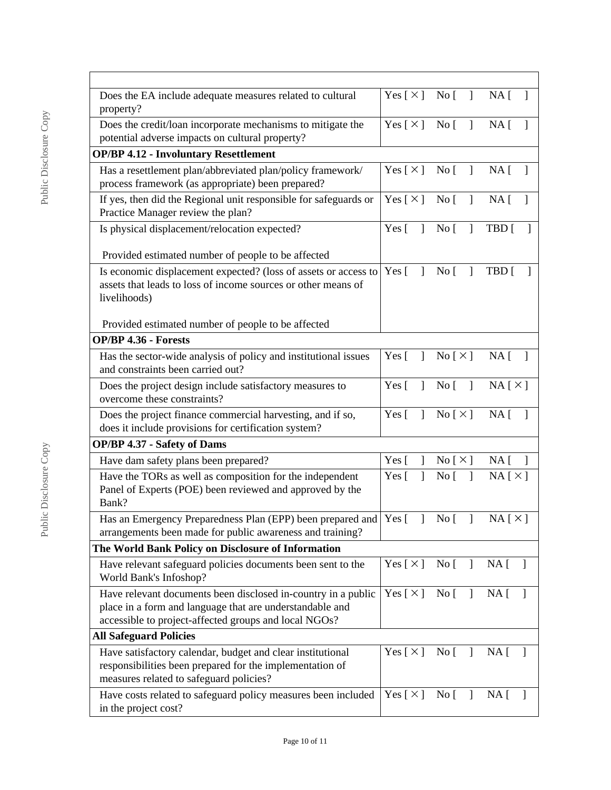| Does the EA include adequate measures related to cultural<br>property?                                                                                            | Yes [ $\times$ ]                                                                     | $\overline{N}$ o<br>$\mathbf{I}$  | NA [<br>$\mathbf{I}$                        |
|-------------------------------------------------------------------------------------------------------------------------------------------------------------------|--------------------------------------------------------------------------------------|-----------------------------------|---------------------------------------------|
| Does the credit/loan incorporate mechanisms to mitigate the<br>potential adverse impacts on cultural property?                                                    | Yes $\lceil \times \rceil$                                                           | $\mathbf{I}$<br>$\overline{N}$ o  | $NA$ [                                      |
| <b>OP/BP 4.12 - Involuntary Resettlement</b>                                                                                                                      |                                                                                      |                                   |                                             |
| Has a resettlement plan/abbreviated plan/policy framework/<br>process framework (as appropriate) been prepared?                                                   | $Yes [ \times ] No [ ]$                                                              |                                   | NA <sub>1</sub>                             |
| If yes, then did the Regional unit responsible for safeguards or<br>Practice Manager review the plan?                                                             | Yes $[\times]$ No $[$                                                                | $\overline{1}$                    | NA [<br>$\overline{\phantom{a}}$            |
| Is physical displacement/relocation expected?                                                                                                                     | Yes $\begin{bmatrix} 1 \\ 1 \end{bmatrix}$ No $\begin{bmatrix} 1 \\ 1 \end{bmatrix}$ | $\mathbf{1}$                      | TBD [                                       |
| Provided estimated number of people to be affected                                                                                                                |                                                                                      |                                   |                                             |
| Is economic displacement expected? (loss of assets or access to<br>assets that leads to loss of income sources or other means of<br>livelihoods)                  | Yes $\lceil$<br>$\mathbf{1}$                                                         | $\mathbf{I}$<br>$\overline{N}$ o  | TBD [                                       |
| Provided estimated number of people to be affected                                                                                                                |                                                                                      |                                   |                                             |
| <b>OP/BP 4.36 - Forests</b>                                                                                                                                       |                                                                                      |                                   |                                             |
| Has the sector-wide analysis of policy and institutional issues<br>and constraints been carried out?                                                              | Yes $\lceil$<br>$\mathbf{1}$                                                         | No [ $\times$ ]                   | $NA \Gamma$                                 |
| Does the project design include satisfactory measures to<br>overcome these constraints?                                                                           | Yes $\lceil \quad \rceil$                                                            | No [                              | $NA \upharpoonright \times \upharpoonright$ |
| Does the project finance commercial harvesting, and if so,<br>does it include provisions for certification system?                                                | Yes $[ \ ]$ No $[ \times ]$                                                          |                                   | $NA$ [ ]                                    |
| <b>OP/BP 4.37 - Safety of Dams</b>                                                                                                                                |                                                                                      |                                   |                                             |
| Have dam safety plans been prepared?                                                                                                                              | Yes $\lceil$<br>1                                                                    | No [ X ]                          | NA [<br>1                                   |
| Have the TORs as well as composition for the independent<br>Panel of Experts (POE) been reviewed and approved by the<br>Bank?                                     | Yes $\lceil$<br>1                                                                    | No <sub>1</sub><br>$\mathbf{1}$   | $NA [ \times ]$                             |
| Has an Emergency Preparedness Plan (EPP) been prepared and Yes [<br>arrangements been made for public awareness and training?                                     |                                                                                      | No <sub>[</sub>                   | NA[X]                                       |
| The World Bank Policy on Disclosure of Information                                                                                                                |                                                                                      |                                   |                                             |
| Have relevant safeguard policies documents been sent to the<br>World Bank's Infoshop?                                                                             | Yes $[\times]$                                                                       | $\text{No}$ [ ]                   | $NA$ [ ]                                    |
| Have relevant documents been disclosed in-country in a public                                                                                                     | Yes [ $\times$ ]                                                                     | No [<br>$\overline{1}$            | NA [                                        |
| place in a form and language that are understandable and                                                                                                          |                                                                                      |                                   |                                             |
| accessible to project-affected groups and local NGOs?                                                                                                             |                                                                                      |                                   |                                             |
| <b>All Safeguard Policies</b>                                                                                                                                     |                                                                                      |                                   |                                             |
| Have satisfactory calendar, budget and clear institutional<br>responsibilities been prepared for the implementation of<br>measures related to safeguard policies? | Yes $\lceil \times \rceil$                                                           | No <sub>[</sub> ]<br>$\mathbf{I}$ | NA <sub>1</sub>                             |
| Have costs related to safeguard policy measures been included<br>in the project cost?                                                                             | Yes [ $\times$ ]                                                                     | No <sub>[</sub> ]                 | NA [<br>$\mathbf{I}$                        |